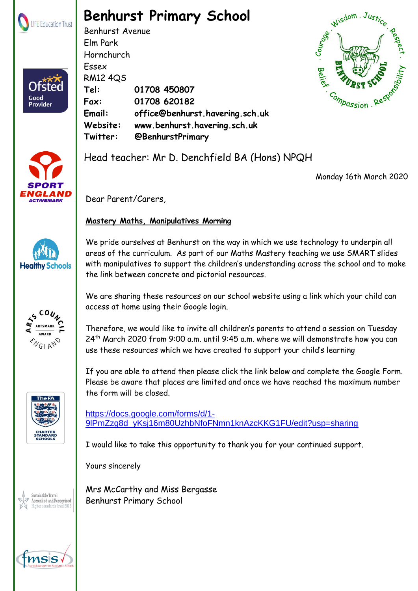

**Ofstec** 

Good<br>Provider

## **Benhurst Primary School**

Benhurst Avenue Elm Park Hornchurch Essex RM12 4QS **Tel: 01708 450807 Fax: 01708 620182 Email: office@benhurst.havering.sch.uk Website: www.benhurst.havering.sch.uk Twitter: @BenhurstPrimary**





Head teacher: Mr D. Denchfield BA (Hons) NPQH

Monday 16th March 2020

Dear Parent/Carers,

## **Mastery Maths, Manipulatives Morning**

We pride ourselves at Benhurst on the way in which we use technology to underpin all areas of the curriculum. As part of our Maths Mastery teaching we use SMART slides with manipulatives to support the children's understanding across the school and to make the link between concrete and pictorial resources.

We are sharing these resources on our school website using a link which your child can access at home using their Google login.

Therefore, we would like to invite all children's parents to attend a session on Tuesday 24th March 2020 from 9:00 a.m. until 9:45 a.m. where we will demonstrate how you can use these resources which we have created to support your child's learning

If you are able to attend then please click the link below and complete the Google Form. Please be aware that places are limited and once we have reached the maximum number the form will be closed.

[https://docs.google.com/forms/d/1-](https://docs.google.com/forms/d/1-9lPmZzg8d_yKsj16m80UzhbNfoFNmn1knAzcKKG1FU/edit?usp=sharing) [9lPmZzg8d\\_yKsj16m80UzhbNfoFNmn1knAzcKKG1FU/edit?usp=sharing](https://docs.google.com/forms/d/1-9lPmZzg8d_yKsj16m80UzhbNfoFNmn1knAzcKKG1FU/edit?usp=sharing)

I would like to take this opportunity to thank you for your continued support.

Yours sincerely

Mrs McCarthy and Miss Bergasse Benhurst Primary School







Sustainable Travel lccredited and Recognised standards level 2012